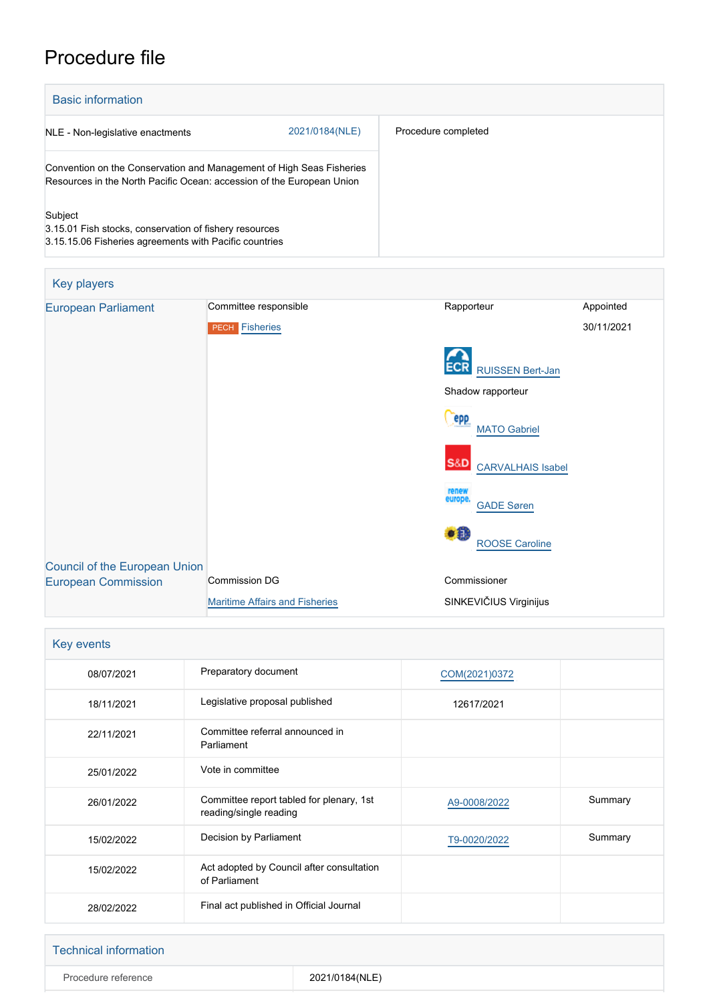# Procedure file

| <b>Basic information</b>                                                                                                                      |                |                     |
|-----------------------------------------------------------------------------------------------------------------------------------------------|----------------|---------------------|
| NLE - Non-legislative enactments                                                                                                              | 2021/0184(NLE) | Procedure completed |
| Convention on the Conservation and Management of High Seas Fisheries<br>Resources in the North Pacific Ocean: accession of the European Union |                |                     |
| Subject<br>3.15.01 Fish stocks, conservation of fishery resources<br>3.15.15.06 Fisheries agreements with Pacific countries                   |                |                     |

| Key players                          |                                       |                                            |            |
|--------------------------------------|---------------------------------------|--------------------------------------------|------------|
| <b>European Parliament</b>           | Committee responsible                 | Rapporteur                                 | Appointed  |
|                                      | <b>PECH Fisheries</b>                 |                                            | 30/11/2021 |
|                                      |                                       | <b>RUISSEN Bert-Jan</b>                    |            |
|                                      |                                       | Shadow rapporteur                          |            |
|                                      |                                       | epp<br><b>MATO Gabriel</b>                 |            |
|                                      |                                       | <b>S&amp;D</b><br><b>CARVALHAIS Isabel</b> |            |
|                                      |                                       | renew<br>europe.<br><b>GADE Søren</b>      |            |
|                                      |                                       | $\bullet$<br><b>ROOSE Caroline</b>         |            |
| <b>Council of the European Union</b> |                                       |                                            |            |
| <b>European Commission</b>           | <b>Commission DG</b>                  | Commissioner                               |            |
|                                      | <b>Maritime Affairs and Fisheries</b> | SINKEVIČIUS Virginijus                     |            |

| Key events |                                                                    |               |         |
|------------|--------------------------------------------------------------------|---------------|---------|
| 08/07/2021 | Preparatory document                                               | COM(2021)0372 |         |
| 18/11/2021 | Legislative proposal published                                     | 12617/2021    |         |
| 22/11/2021 | Committee referral announced in<br>Parliament                      |               |         |
| 25/01/2022 | Vote in committee                                                  |               |         |
| 26/01/2022 | Committee report tabled for plenary, 1st<br>reading/single reading | A9-0008/2022  | Summary |
| 15/02/2022 | Decision by Parliament                                             | T9-0020/2022  | Summary |
| 15/02/2022 | Act adopted by Council after consultation<br>of Parliament         |               |         |
| 28/02/2022 | Final act published in Official Journal                            |               |         |

| Technical information |                |
|-----------------------|----------------|
| Procedure reference   | 2021/0184(NLE) |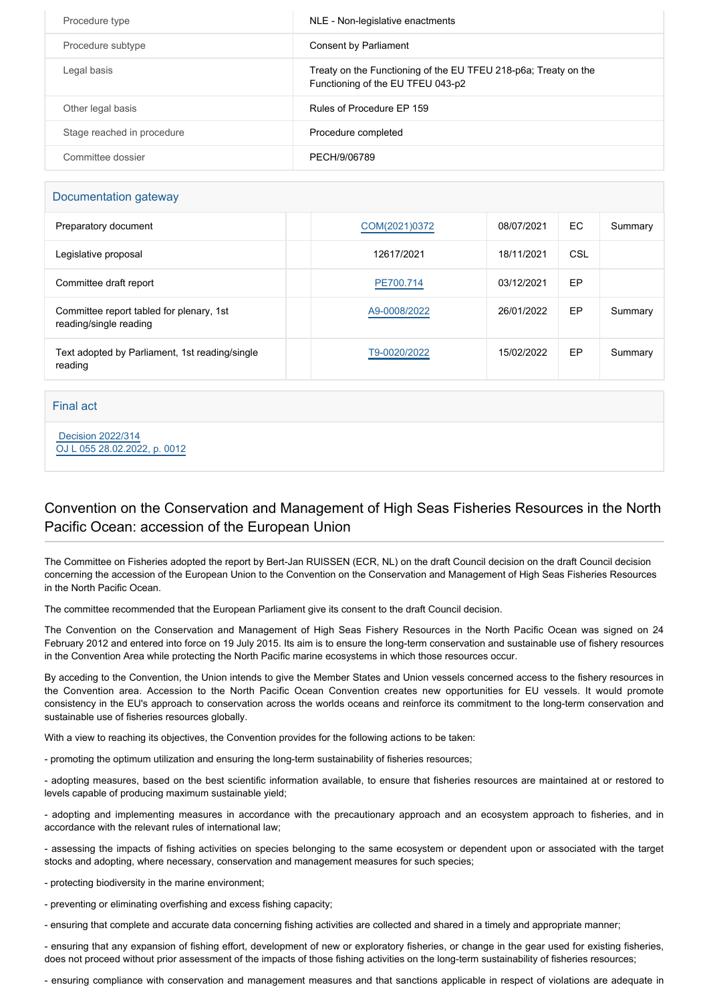| Procedure type             | NLE - Non-legislative enactments                                                                     |
|----------------------------|------------------------------------------------------------------------------------------------------|
| Procedure subtype          | Consent by Parliament                                                                                |
| Legal basis                | Treaty on the Functioning of the EU TFEU 218-p6a; Treaty on the<br>Functioning of the EU TFEU 043-p2 |
| Other legal basis          | Rules of Procedure EP 159                                                                            |
| Stage reached in procedure | Procedure completed                                                                                  |
| Committee dossier          | PECH/9/06789                                                                                         |

### Documentation gateway

| Preparatory document                                               | COM(2021)0372 | 08/07/2021 | EC. | Summary |
|--------------------------------------------------------------------|---------------|------------|-----|---------|
| Legislative proposal                                               | 12617/2021    | 18/11/2021 | CSL |         |
| Committee draft report                                             | PE700.714     | 03/12/2021 | EP  |         |
| Committee report tabled for plenary, 1st<br>reading/single reading | A9-0008/2022  | 26/01/2022 | EP  | Summary |
| Text adopted by Parliament, 1st reading/single<br>reading          | T9-0020/2022  | 15/02/2022 | EP  | Summary |

#### Final act

 [Decision 2022/314](https://eur-lex.europa.eu/smartapi/cgi/sga_doc?smartapi!celexplus!prod!CELEXnumdoc&lg=EN&numdoc=32022D0314) [OJ L 055 28.02.2022, p. 0012](https://eur-lex.europa.eu/legal-content/EN/TXT/?uri=OJ:L:2022:055:TOC)

## Convention on the Conservation and Management of High Seas Fisheries Resources in the North Pacific Ocean: accession of the European Union

The Committee on Fisheries adopted the report by Bert-Jan RUISSEN (ECR, NL) on the draft Council decision on the draft Council decision concerning the accession of the European Union to the Convention on the Conservation and Management of High Seas Fisheries Resources in the North Pacific Ocean.

The committee recommended that the European Parliament give its consent to the draft Council decision.

The Convention on the Conservation and Management of High Seas Fishery Resources in the North Pacific Ocean was signed on 24 February 2012 and entered into force on 19 July 2015. Its aim is to ensure the long-term conservation and sustainable use of fishery resources in the Convention Area while protecting the North Pacific marine ecosystems in which those resources occur.

By acceding to the Convention, the Union intends to give the Member States and Union vessels concerned access to the fishery resources in the Convention area. Accession to the North Pacific Ocean Convention creates new opportunities for EU vessels. It would promote consistency in the EU's approach to conservation across the worlds oceans and reinforce its commitment to the long-term conservation and sustainable use of fisheries resources globally.

With a view to reaching its objectives, the Convention provides for the following actions to be taken:

- promoting the optimum utilization and ensuring the long-term sustainability of fisheries resources;

- adopting measures, based on the best scientific information available, to ensure that fisheries resources are maintained at or restored to levels capable of producing maximum sustainable yield;

- adopting and implementing measures in accordance with the precautionary approach and an ecosystem approach to fisheries, and in accordance with the relevant rules of international law;

- assessing the impacts of fishing activities on species belonging to the same ecosystem or dependent upon or associated with the target stocks and adopting, where necessary, conservation and management measures for such species;

- protecting biodiversity in the marine environment;

- preventing or eliminating overfishing and excess fishing capacity;

- ensuring that complete and accurate data concerning fishing activities are collected and shared in a timely and appropriate manner;

- ensuring that any expansion of fishing effort, development of new or exploratory fisheries, or change in the gear used for existing fisheries, does not proceed without prior assessment of the impacts of those fishing activities on the long-term sustainability of fisheries resources;

- ensuring compliance with conservation and management measures and that sanctions applicable in respect of violations are adequate in